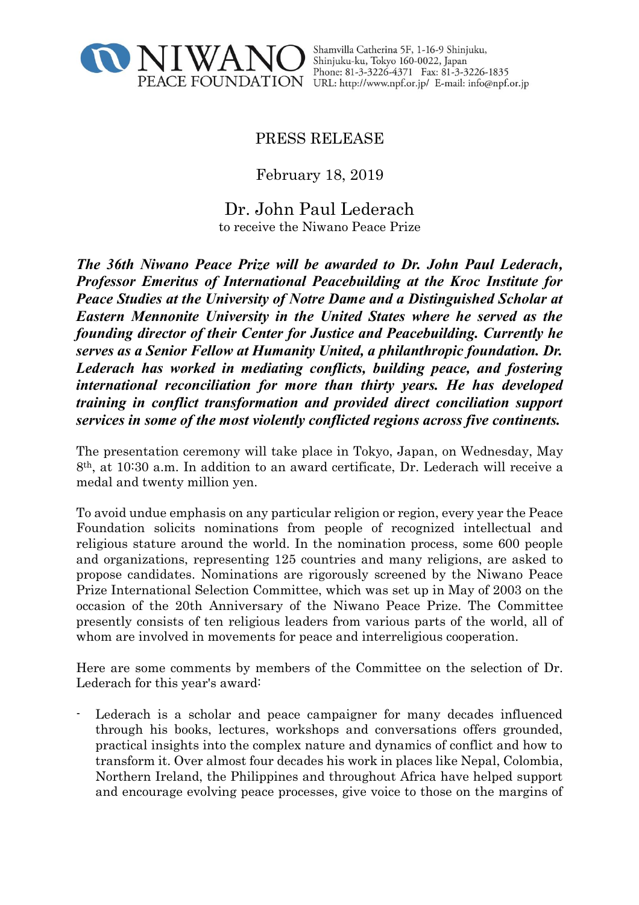

Shamvilla Catherina 5F, 1-16-9 Shinjuku, Shinjuku-ku, Tokyo 160-0022, Japan<br>Phone: 81-3-3226-4371 Fax: 81-3-3226-1835 PEACE FOUNDATION URL: http://www.npf.or.jp/ E-mail: info@npf.or.jp

## PRESS RELEASE

## February 18, 2019

## Dr. John Paul Lederach to receive the Niwano Peace Prize

*The 36th Niwano Peace Prize will be awarded to Dr. John Paul Lederach, Professor Emeritus of International Peacebuilding at the Kroc Institute for Peace Studies at the University of Notre Dame and a Distinguished Scholar at Eastern Mennonite University in the United States where he served as the founding director of their Center for Justice and Peacebuilding. Currently he serves as a Senior Fellow at Humanity United, a philanthropic foundation. Dr. Lederach has worked in mediating conflicts, building peace, and fostering international reconciliation for more than thirty years. He has developed training in conflict transformation and provided direct conciliation support services in some of the most violently conflicted regions across five continents.*

The presentation ceremony will take place in Tokyo, Japan, on Wednesday, May 8th, at 10:30 a.m. In addition to an award certificate, Dr. Lederach will receive a medal and twenty million yen.

To avoid undue emphasis on any particular religion or region, every year the Peace Foundation solicits nominations from people of recognized intellectual and religious stature around the world. In the nomination process, some 600 people and organizations, representing 125 countries and many religions, are asked to propose candidates. Nominations are rigorously screened by the Niwano Peace Prize International Selection Committee, which was set up in May of 2003 on the occasion of the 20th Anniversary of the Niwano Peace Prize. The Committee presently consists of ten religious leaders from various parts of the world, all of whom are involved in movements for peace and interreligious cooperation.

Here are some comments by members of the Committee on the selection of Dr. Lederach for this year's award:

Lederach is a scholar and peace campaigner for many decades influenced through his books, lectures, workshops and conversations offers grounded, practical insights into the complex nature and dynamics of conflict and how to transform it. Over almost four decades his work in places like Nepal, Colombia, Northern Ireland, the Philippines and throughout Africa have helped support and encourage evolving peace processes, give voice to those on the margins of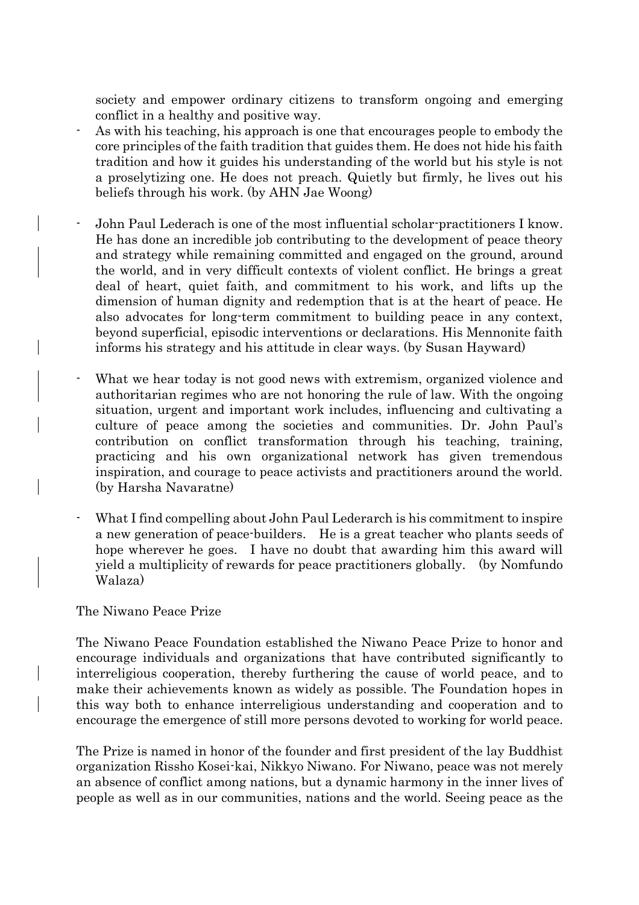society and empower ordinary citizens to transform ongoing and emerging conflict in a healthy and positive way.

- As with his teaching, his approach is one that encourages people to embody the core principles of the faith tradition that guides them. He does not hide his faith tradition and how it guides his understanding of the world but his style is not a proselytizing one. He does not preach. Quietly but firmly, he lives out his beliefs through his work. (by AHN Jae Woong)
- John Paul Lederach is one of the most influential scholar-practitioners I know. He has done an incredible job contributing to the development of peace theory and strategy while remaining committed and engaged on the ground, around the world, and in very difficult contexts of violent conflict. He brings a great deal of heart, quiet faith, and commitment to his work, and lifts up the dimension of human dignity and redemption that is at the heart of peace. He also advocates for long-term commitment to building peace in any context, beyond superficial, episodic interventions or declarations. His Mennonite faith informs his strategy and his attitude in clear ways. (by Susan Hayward)
- What we hear today is not good news with extremism, organized violence and authoritarian regimes who are not honoring the rule of law. With the ongoing situation, urgent and important work includes, influencing and cultivating a culture of peace among the societies and communities. Dr. John Paul's contribution on conflict transformation through his teaching, training, practicing and his own organizational network has given tremendous inspiration, and courage to peace activists and practitioners around the world. (by Harsha Navaratne)
- What I find compelling about John Paul Lederarch is his commitment to inspire a new generation of peace-builders. He is a great teacher who plants seeds of hope wherever he goes. I have no doubt that awarding him this award will yield a multiplicity of rewards for peace practitioners globally. (by Nomfundo Walaza)

## The Niwano Peace Prize

The Niwano Peace Foundation established the Niwano Peace Prize to honor and encourage individuals and organizations that have contributed significantly to interreligious cooperation, thereby furthering the cause of world peace, and to make their achievements known as widely as possible. The Foundation hopes in this way both to enhance interreligious understanding and cooperation and to encourage the emergence of still more persons devoted to working for world peace.

The Prize is named in honor of the founder and first president of the lay Buddhist organization Rissho Kosei-kai, Nikkyo Niwano. For Niwano, peace was not merely an absence of conflict among nations, but a dynamic harmony in the inner lives of people as well as in our communities, nations and the world. Seeing peace as the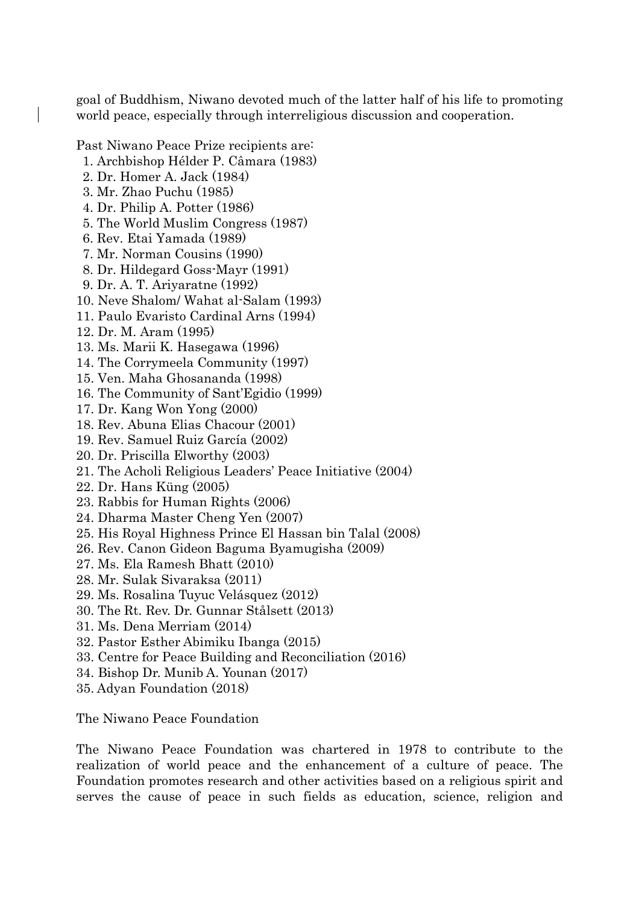goal of Buddhism, Niwano devoted much of the latter half of his life to promoting world peace, especially through interreligious discussion and cooperation.

Past Niwano Peace Prize recipients are:

- 1. Archbishop Hélder P. Câmara (1983)
- 2. Dr. Homer A. Jack (1984)
- 3. Mr. Zhao Puchu (1985)
- 4. Dr. Philip A. Potter (1986)
- 5. The World Muslim Congress (1987)
- 6. Rev. Etai Yamada (1989)
- 7. Mr. Norman Cousins (1990)
- 8. Dr. Hildegard Goss-Mayr (1991)
- 9. Dr. A. T. Ariyaratne (1992)
- 10. Neve Shalom/ Wahat al-Salam (1993)
- 11. Paulo Evaristo Cardinal Arns (1994)
- 12. Dr. M. Aram (1995)
- 13. Ms. Marii K. Hasegawa (1996)
- 14. The Corrymeela Community (1997)
- 15. Ven. Maha Ghosananda (1998)
- 16. The Community of Sant'Egidio (1999)
- 17. Dr. Kang Won Yong (2000)
- 18. Rev. Abuna Elias Chacour (2001)
- 19. Rev. Samuel Ruiz García (2002)
- 20. Dr. Priscilla Elworthy (2003)
- 21. The Acholi Religious Leaders' Peace Initiative (2004)
- 22. Dr. Hans Küng (2005)
- 23. Rabbis for Human Rights (2006)
- 24. Dharma Master Cheng Yen (2007)
- 25. His Royal Highness Prince El Hassan bin Talal (2008)
- 26. Rev. Canon Gideon Baguma Byamugisha (2009)
- 27. Ms. Ela Ramesh Bhatt (2010)
- 28. Mr. Sulak Sivaraksa (2011)
- 29. Ms. Rosalina Tuyuc Velásquez (2012)
- 30. The Rt. Rev. Dr. Gunnar Stålsett (2013)
- 31. Ms. Dena Merriam (2014)
- 32. Pastor Esther Abimiku Ibanga (2015)
- 33. Centre for Peace Building and Reconciliation (2016)
- 34. Bishop Dr. Munib A. Younan (2017)
- 35. Adyan Foundation (2018)

The Niwano Peace Foundation

The Niwano Peace Foundation was chartered in 1978 to contribute to the realization of world peace and the enhancement of a culture of peace. The Foundation promotes research and other activities based on a religious spirit and serves the cause of peace in such fields as education, science, religion and